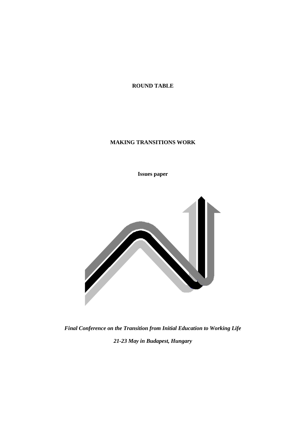**ROUND TABLE**

## **MAKING TRANSITIONS WORK**

**Issues paper**



*Final Conference on the Transition from Initial Education to Working Life 21-23 May in Budapest, Hungary*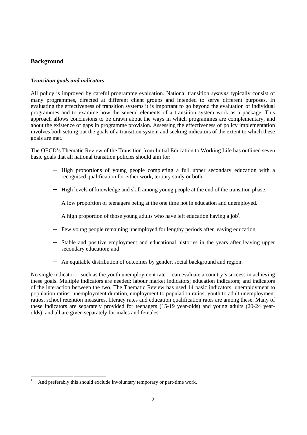# **Background**

 $\frac{1}{1}$ 

## *Transition goals and indicators*

All policy is improved by careful programme evaluation. National transition *systems* typically consist of many programmes, directed at different client groups and intended to serve different purposes. In evaluating the effectiveness of transition systems it is important to go beyond the evaluation of individual programmes and to examine how the several elements of a transition system work as a package. This approach allows conclusions to be drawn about the ways in which programmes are complementary, and about the existence of gaps in programme provision. Assessing the effectiveness of policy implementation involves both setting out the goals of a transition system and seeking indicators of the extent to which these goals are met.

The OECD's Thematic Review of the Transition from Initial Education to Working Life has outlined seven basic goals that all national transition policies should aim for:

- − High proportions of young people completing a full upper secondary education with a recognised qualification for either work, tertiary study or both.
- − High levels of knowledge and skill among young people at the end of the transition phase.
- A low proportion of teenagers being at the one time not in education and unemployed.
- − A high proportion of those young adults who have left education having a job<sup>1</sup>.
- Few young people remaining unemployed for lengthy periods after leaving education.
- Stable and positive employment and educational histories in the years after leaving upper secondary education; and
- − An equitable distribution of outcomes by gender, social background and region.

No single indicator -- such as the youth unemployment rate -- can evaluate a country's success in achieving these goals. Multiple indicators are needed: labour market indicators; education indicators; and indicators of the interaction between the two. The Thematic Review has used 14 basic indicators: unemployment to population ratios, unemployment duration, employment to population ratios, youth to adult unemployment ratios, school retention measures, literacy rates and education qualification rates are among these. Many of these indicators are separately provided for teenagers (15-19 year-olds) and young adults (20-24 yearolds), and all are given separately for males and females.

And preferably this should exclude involuntary temporary or part-time work.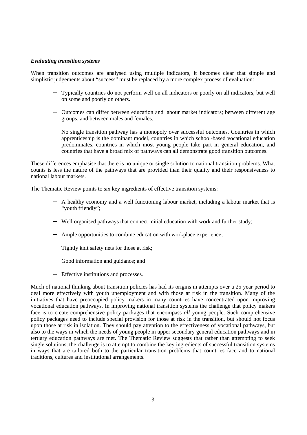#### *Evaluating transition systems*

When transition outcomes are analysed using multiple indicators, it becomes clear that simple and simplistic judgements about "success" must be replaced by a more complex process of evaluation:

- − Typically countries do not perform well on all indicators or poorly on all indicators, but well on some and poorly on others.
- − Outcomes can differ between education and labour market indicators; between different age groups; and between males and females.
- No single transition pathway has a monopoly over successful outcomes. Countries in which apprenticeship is the dominant model, countries in which school-based vocational education predominates, countries in which most young people take part in general education, and countries that have a broad mix of pathways can all demonstrate good transition outcomes.

These differences emphasise that there is no unique or single solution to national transition problems. What counts is less the nature of the pathways that are provided than their quality and their responsiveness to national labour markets.

The Thematic Review points to six key ingredients of effective transition systems:

- − A healthy economy and a well functioning labour market, including a labour market that is "youth friendly";
- − Well organised pathways that connect initial education with work and further study;
- Ample opportunities to combine education with workplace experience;
- Tightly knit safety nets for those at risk;
- − Good information and guidance; and
- − Effective institutions and processes.

Much of national thinking about transition policies has had its origins in attempts over a 25 year period to deal more effectively with youth unemployment and with those at risk in the transition. Many of the initiatives that have preoccupied policy makers in many countries have concentrated upon improving vocational education pathways. In improving national transition systems the challenge that policy makers face is to create comprehensive policy packages that encompass *all* young people. Such comprehensive policy packages need to include special provision for those at risk in the transition, but should not focus upon those at risk in isolation. They should pay attention to the effectiveness of vocational pathways, but also to the ways in which the needs of young people in upper secondary general education pathways and in tertiary education pathways are met. The Thematic Review suggests that rather than attempting to seek single solutions, the challenge is to attempt to combine the key ingredients of successful transition systems in ways that are tailored both to the particular transition problems that countries face and to national traditions, cultures and institutional arrangements.